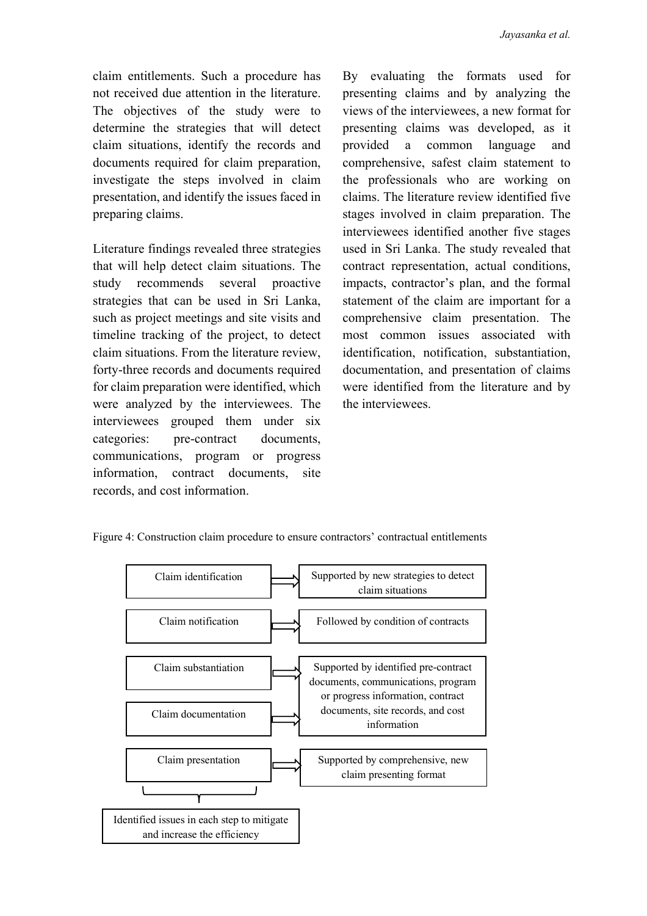claim entitlements. Such a procedure has not received due attention in the literature. The objectives of the study were to determine the strategies that will detect claim situations, identify the records and documents required for claim preparation, investigate the steps involved in claim presentation, and identify the issues faced in preparing claims.

Literature findings revealed three strategies that will help detect claim situations. The study recommends several proactive strategies that can be used in Sri Lanka, such as project meetings and site visits and timeline tracking of the project, to detect claim situations. From the literature review, forty-three records and documents required for claim preparation were identified, which were analyzed by the interviewees. The interviewees grouped them under six categories: pre-contract documents, communications, program or progress information, contract documents, site records, and cost information.

By evaluating the formats used for presenting claims and by analyzing the views of the interviewees, a new format for presenting claims was developed, as it provided a common language and comprehensive, safest claim statement to the professionals who are working on claims. The literature review identified five stages involved in claim preparation. The interviewees identified another five stages used in Sri Lanka. The study revealed that contract representation, actual conditions, impacts, contractor's plan, and the formal statement of the claim are important for a comprehensive claim presentation. The most common issues associated with identification, notification, substantiation, documentation, and presentation of claims were identified from the literature and by the interviewees.



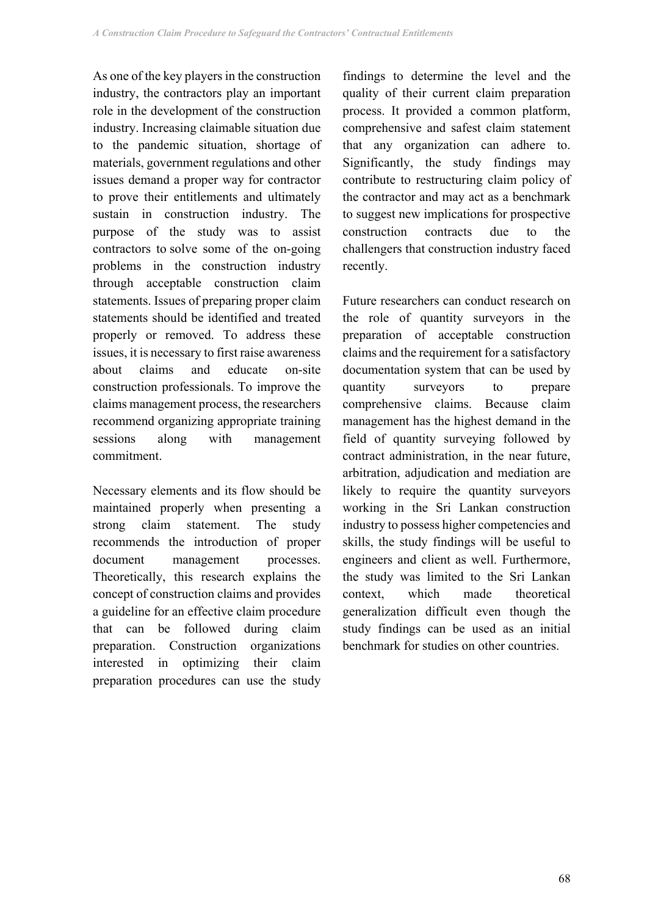As one of the key players in the construction industry, the contractors play an important role in the development of the construction industry. Increasing claimable situation due to the pandemic situation, shortage of materials, government regulations and other issues demand a proper way for contractor to prove their entitlements and ultimately sustain in construction industry. The purpose of the study was to assist contractors to solve some of the on-going problems in the construction industry through acceptable construction claim statements. Issues of preparing proper claim statements should be identified and treated properly or removed. To address these issues, it is necessary to first raise awareness about claims and educate on-site construction professionals. To improve the claims management process, the researchers recommend organizing appropriate training sessions along with management commitment.

Necessary elements and its flow should be maintained properly when presenting a strong claim statement. The study recommends the introduction of proper document management processes. Theoretically, this research explains the concept of construction claims and provides a guideline for an effective claim procedure that can be followed during claim preparation. Construction organizations interested in optimizing their claim preparation procedures can use the study

findings to determine the level and the quality of their current claim preparation process. It provided a common platform, comprehensive and safest claim statement that any organization can adhere to. Significantly, the study findings may contribute to restructuring claim policy of the contractor and may act as a benchmark to suggest new implications for prospective construction contracts due to the challengers that construction industry faced recently.

Future researchers can conduct research on the role of quantity surveyors in the preparation of acceptable construction claims and the requirement for a satisfactory documentation system that can be used by quantity surveyors to prepare comprehensive claims. Because claim management has the highest demand in the field of quantity surveying followed by contract administration, in the near future, arbitration, adjudication and mediation are likely to require the quantity surveyors working in the Sri Lankan construction industry to possess higher competencies and skills, the study findings will be useful to engineers and client as well. Furthermore, the study was limited to the Sri Lankan context, which made theoretical generalization difficult even though the study findings can be used as an initial benchmark for studies on other countries.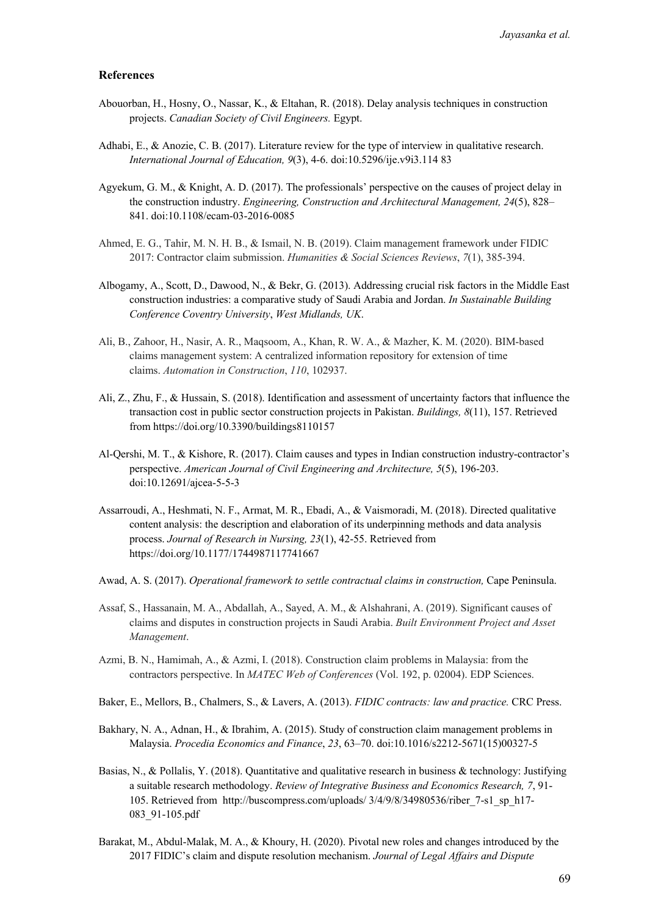## **References**

- Abouorban, H., Hosny, O., Nassar, K., & Eltahan, R. (2018). Delay analysis techniques in construction projects. *Canadian Society of Civil Engineers.* Egypt.
- Adhabi, E., & Anozie, C. B. (2017). Literature review for the type of interview in qualitative research. *International Journal of Education, 9*(3), 4-6. doi:10.5296/ije.v9i3.114 83
- Agyekum, G. M., & Knight, A. D. (2017). The professionals' perspective on the causes of project delay in the construction industry. *Engineering, Construction and Architectural Management, 24*(5), 828– 841. doi:10.1108/ecam-03-2016-0085
- Ahmed, E. G., Tahir, M. N. H. B., & Ismail, N. B. (2019). Claim management framework under FIDIC 2017: Contractor claim submission. *Humanities & Social Sciences Reviews*, *7*(1), 385-394.
- Albogamy, A., Scott, D., Dawood, N., & Bekr, G. (2013). Addressing crucial risk factors in the Middle East construction industries: a comparative study of Saudi Arabia and Jordan. *In Sustainable Building Conference Coventry University*, *West Midlands, UK*.
- Ali, B., Zahoor, H., Nasir, A. R., Maqsoom, A., Khan, R. W. A., & Mazher, K. M. (2020). BIM-based claims management system: A centralized information repository for extension of time claims. *Automation in Construction*, *110*, 102937.
- Ali, Z., Zhu, F., & Hussain, S. (2018). Identification and assessment of uncertainty factors that influence the transaction cost in public sector construction projects in Pakistan. *Buildings, 8*(11), 157. Retrieved from https://doi.org/10.3390/buildings8110157
- Al-Qershi, M. T., & Kishore, R. (2017). Claim causes and types in Indian construction industry-contractor's perspective. *American Journal of Civil Engineering and Architecture, 5*(5), 196-203. doi:10.12691/ajcea-5-5-3
- Assarroudi, A., Heshmati, N. F., Armat, M. R., Ebadi, A., & Vaismoradi, M. (2018). Directed qualitative content analysis: the description and elaboration of its underpinning methods and data analysis process. *Journal of Research in Nursing, 23*(1), 42-55. Retrieved from https://doi.org/10.1177/1744987117741667
- Awad, A. S. (2017). *Operational framework to settle contractual claims in construction,* Cape Peninsula.
- Assaf, S., Hassanain, M. A., Abdallah, A., Sayed, A. M., & Alshahrani, A. (2019). Significant causes of claims and disputes in construction projects in Saudi Arabia. *Built Environment Project and Asset Management*.
- Azmi, B. N., Hamimah, A., & Azmi, I. (2018). Construction claim problems in Malaysia: from the contractors perspective. In *MATEC Web of Conferences* (Vol. 192, p. 02004). EDP Sciences.
- Baker, E., Mellors, B., Chalmers, S., & Lavers, A. (2013). *FIDIC contracts: law and practice.* CRC Press.
- Bakhary, N. A., Adnan, H., & Ibrahim, A. (2015). Study of construction claim management problems in Malaysia. *Procedia Economics and Finance*, *23*, 63–70. doi:10.1016/s2212-5671(15)00327-5
- Basias, N., & Pollalis, Y. (2018). Quantitative and qualitative research in business & technology: Justifying a suitable research methodology. *Review of Integrative Business and Economics Research, 7*, 91- 105. Retrieved from http://buscompress.com/uploads/ 3/4/9/8/34980536/riber\_7-s1\_sp\_h17- 083\_91-105.pdf
- Barakat, M., Abdul-Malak, M. A., & Khoury, H. (2020). Pivotal new roles and changes introduced by the 2017 FIDIC's claim and dispute resolution mechanism. *Journal of Legal Affairs and Dispute*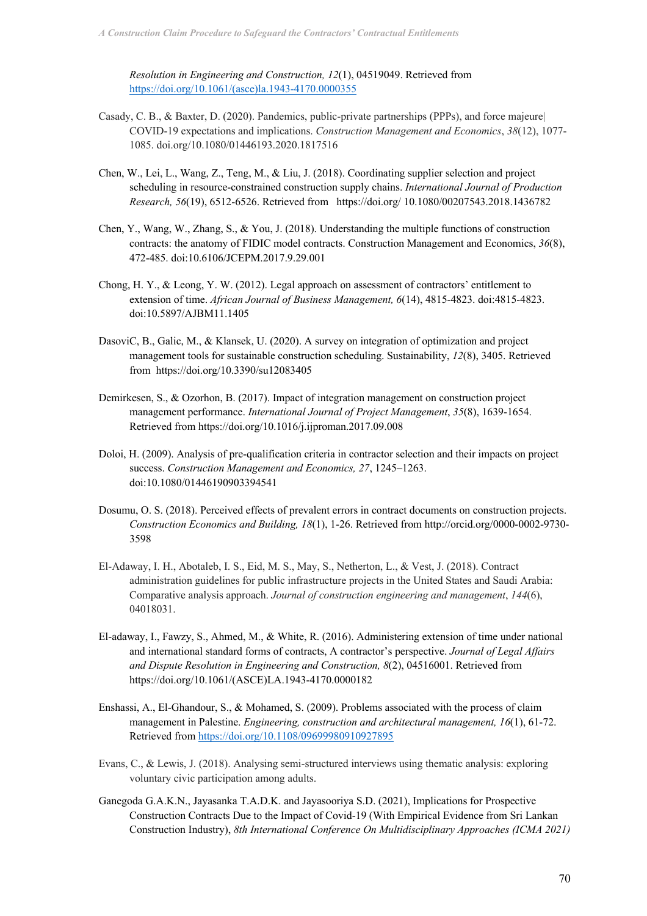*Resolution in Engineering and Construction, 12*(1), 04519049. Retrieved from https://doi.org/10.1061/(asce)la.1943-4170.0000355

- Casady, C. B., & Baxter, D. (2020). Pandemics, public-private partnerships (PPPs), and force majeure| COVID-19 expectations and implications. *Construction Management and Economics*, *38*(12), 1077- 1085. doi.org/10.1080/01446193.2020.1817516
- Chen, W., Lei, L., Wang, Z., Teng, M., & Liu, J. (2018). Coordinating supplier selection and project scheduling in resource-constrained construction supply chains. *International Journal of Production Research, 56*(19), 6512-6526. Retrieved from https://doi.org/ 10.1080/00207543.2018.1436782
- Chen, Y., Wang, W., Zhang, S., & You, J. (2018). Understanding the multiple functions of construction contracts: the anatomy of FIDIC model contracts. Construction Management and Economics, *36*(8), 472-485. doi:10.6106/JCEPM.2017.9.29.001
- Chong, H. Y., & Leong, Y. W. (2012). Legal approach on assessment of contractors' entitlement to extension of time. *African Journal of Business Management, 6*(14), 4815-4823. doi:4815-4823. doi:10.5897/AJBM11.1405
- DasoviC, B., Galic, M., & Klansek, U. (2020). A survey on integration of optimization and project management tools for sustainable construction scheduling. Sustainability, *12*(8), 3405. Retrieved from https://doi.org/10.3390/su12083405
- Demirkesen, S., & Ozorhon, B. (2017). Impact of integration management on construction project management performance. *International Journal of Project Management*, *35*(8), 1639-1654. Retrieved from https://doi.org/10.1016/j.ijproman.2017.09.008
- Doloi, H. (2009). Analysis of pre-qualification criteria in contractor selection and their impacts on project success. *Construction Management and Economics, 27*, 1245–1263. doi:10.1080/01446190903394541
- Dosumu, O. S. (2018). Perceived effects of prevalent errors in contract documents on construction projects. *Construction Economics and Building, 18*(1), 1-26. Retrieved from http://orcid.org/0000-0002-9730- 3598
- El-Adaway, I. H., Abotaleb, I. S., Eid, M. S., May, S., Netherton, L., & Vest, J. (2018). Contract administration guidelines for public infrastructure projects in the United States and Saudi Arabia: Comparative analysis approach. *Journal of construction engineering and management*, *144*(6), 04018031.
- El-adaway, I., Fawzy, S., Ahmed, M., & White, R. (2016). Administering extension of time under national and international standard forms of contracts, A contractor's perspective. *Journal of Legal Affairs and Dispute Resolution in Engineering and Construction, 8*(2), 04516001. Retrieved from https://doi.org/10.1061/(ASCE)LA.1943-4170.0000182
- Enshassi, A., El‐Ghandour, S., & Mohamed, S. (2009). Problems associated with the process of claim management in Palestine. *Engineering, construction and architectural management, 16*(1), 61-72. Retrieved from https://doi.org/10.1108/09699980910927895
- Evans, C., & Lewis, J. (2018). Analysing semi-structured interviews using thematic analysis: exploring voluntary civic participation among adults.
- Ganegoda G.A.K.N., Jayasanka T.A.D.K. and Jayasooriya S.D. (2021), Implications for Prospective Construction Contracts Due to the Impact of Covid-19 (With Empirical Evidence from Sri Lankan Construction Industry), *8th International Conference On Multidisciplinary Approaches (ICMA 2021)*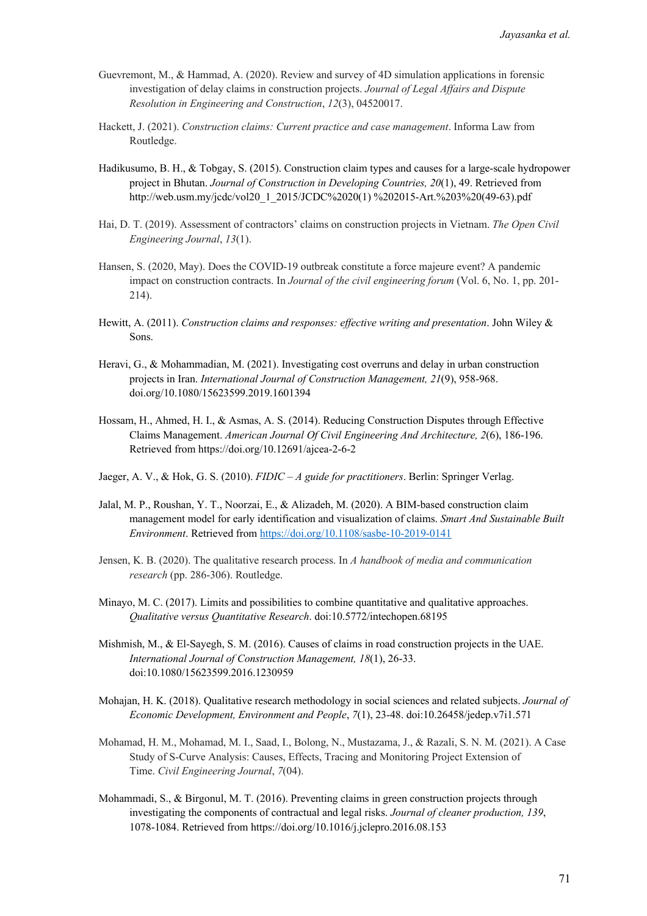- Guevremont, M., & Hammad, A. (2020). Review and survey of 4D simulation applications in forensic investigation of delay claims in construction projects. *Journal of Legal Affairs and Dispute Resolution in Engineering and Construction*, *12*(3), 04520017.
- Hackett, J. (2021). *Construction claims: Current practice and case management*. Informa Law from Routledge.
- Hadikusumo, B. H., & Tobgay, S. (2015). Construction claim types and causes for a large-scale hydropower project in Bhutan. *Journal of Construction in Developing Countries, 20*(1), 49. Retrieved from http://web.usm.my/jcdc/vol20\_1\_2015/JCDC%2020(1) %202015-Art.%203%20(49-63).pdf
- Hai, D. T. (2019). Assessment of contractors' claims on construction projects in Vietnam. *The Open Civil Engineering Journal*, *13*(1).
- Hansen, S. (2020, May). Does the COVID-19 outbreak constitute a force majeure event? A pandemic impact on construction contracts. In *Journal of the civil engineering forum* (Vol. 6, No. 1, pp. 201- 214).
- Hewitt, A. (2011). *Construction claims and responses: effective writing and presentation*. John Wiley & Sons.
- Heravi, G., & Mohammadian, M. (2021). Investigating cost overruns and delay in urban construction projects in Iran. *International Journal of Construction Management, 21*(9), 958-968. doi.org/10.1080/15623599.2019.1601394
- Hossam, H., Ahmed, H. I., & Asmas, A. S. (2014). Reducing Construction Disputes through Effective Claims Management. *American Journal Of Civil Engineering And Architecture, 2*(6), 186-196. Retrieved from https://doi.org/10.12691/ajcea-2-6-2
- Jaeger, A. V., & Hok, G. S. (2010). *FIDIC – A guide for practitioners*. Berlin: Springer Verlag.
- Jalal, M. P., Roushan, Y. T., Noorzai, E., & Alizadeh, M. (2020). A BIM-based construction claim management model for early identification and visualization of claims. *Smart And Sustainable Built Environment*. Retrieved from https://doi.org/10.1108/sasbe-10-2019-0141
- Jensen, K. B. (2020). The qualitative research process. In *A handbook of media and communication research* (pp. 286-306). Routledge.
- Minayo, M. C. (2017). Limits and possibilities to combine quantitative and qualitative approaches. *Qualitative versus Quantitative Research*. doi:10.5772/intechopen.68195
- Mishmish, M., & El-Sayegh, S. M. (2016). Causes of claims in road construction projects in the UAE. *International Journal of Construction Management, 18*(1), 26-33. doi:10.1080/15623599.2016.1230959
- Mohajan, H. K. (2018). Qualitative research methodology in social sciences and related subjects. *Journal of Economic Development, Environment and People*, *7*(1), 23-48. doi:10.26458/jedep.v7i1.571
- Mohamad, H. M., Mohamad, M. I., Saad, I., Bolong, N., Mustazama, J., & Razali, S. N. M. (2021). A Case Study of S-Curve Analysis: Causes, Effects, Tracing and Monitoring Project Extension of Time. *Civil Engineering Journal*, *7*(04).
- Mohammadi, S., & Birgonul, M. T. (2016). Preventing claims in green construction projects through investigating the components of contractual and legal risks. *Journal of cleaner production, 139*, 1078-1084. Retrieved from https://doi.org/10.1016/j.jclepro.2016.08.153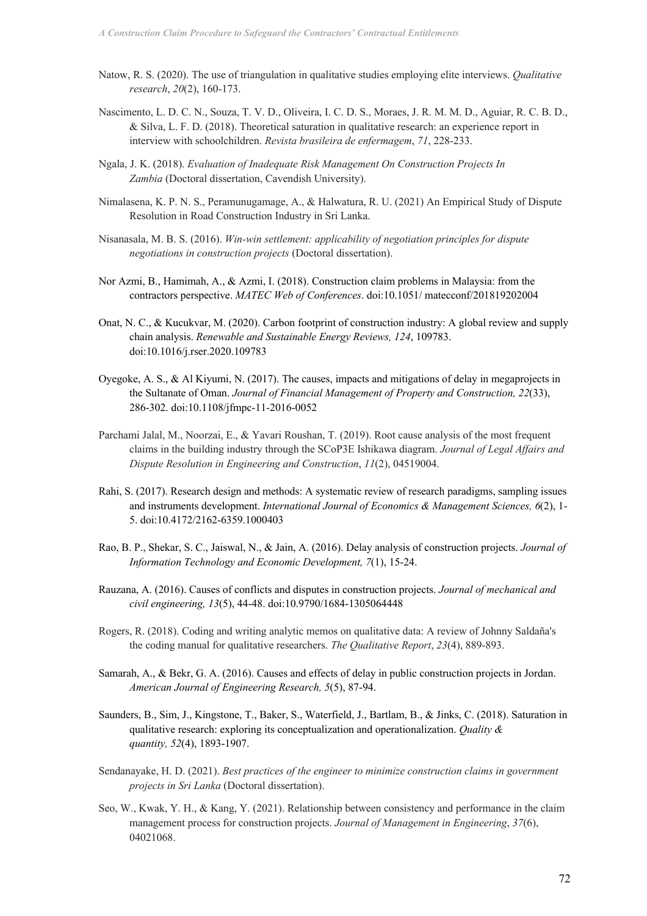- Natow, R. S. (2020). The use of triangulation in qualitative studies employing elite interviews. *Qualitative research*, *20*(2), 160-173.
- Nascimento, L. D. C. N., Souza, T. V. D., Oliveira, I. C. D. S., Moraes, J. R. M. M. D., Aguiar, R. C. B. D., & Silva, L. F. D. (2018). Theoretical saturation in qualitative research: an experience report in interview with schoolchildren. *Revista brasileira de enfermagem*, *71*, 228-233.
- Ngala, J. K. (2018). *Evaluation of Inadequate Risk Management On Construction Projects In Zambia* (Doctoral dissertation, Cavendish University).
- Nimalasena, K. P. N. S., Peramunugamage, A., & Halwatura, R. U. (2021) An Empirical Study of Dispute Resolution in Road Construction Industry in Sri Lanka.
- Nisanasala, M. B. S. (2016). *Win-win settlement: applicability of negotiation principles for dispute negotiations in construction projects* (Doctoral dissertation).
- Nor Azmi, B., Hamimah, A., & Azmi, I. (2018). Construction claim problems in Malaysia: from the contractors perspective. *MATEC Web of Conferences*. doi:10.1051/ matecconf/201819202004
- Onat, N. C., & Kucukvar, M. (2020). Carbon footprint of construction industry: A global review and supply chain analysis. *Renewable and Sustainable Energy Reviews, 124*, 109783. doi:10.1016/j.rser.2020.109783
- Oyegoke, A. S., & Al Kiyumi, N. (2017). The causes, impacts and mitigations of delay in megaprojects in the Sultanate of Oman. *Journal of Financial Management of Property and Construction, 22*(33), 286-302. doi:10.1108/jfmpc-11-2016-0052
- Parchami Jalal, M., Noorzai, E., & Yavari Roushan, T. (2019). Root cause analysis of the most frequent claims in the building industry through the SCoP3E Ishikawa diagram. *Journal of Legal Affairs and Dispute Resolution in Engineering and Construction*, *11*(2), 04519004.
- Rahi, S. (2017). Research design and methods: A systematic review of research paradigms, sampling issues and instruments development. *International Journal of Economics & Management Sciences, 6*(2), 1- 5. doi:10.4172/2162-6359.1000403
- Rao, B. P., Shekar, S. C., Jaiswal, N., & Jain, A. (2016). Delay analysis of construction projects. *Journal of Information Technology and Economic Development, 7*(1), 15-24.
- Rauzana, A. (2016). Causes of conflicts and disputes in construction projects. *Journal of mechanical and civil engineering, 13*(5), 44-48. doi:10.9790/1684-1305064448
- Rogers, R. (2018). Coding and writing analytic memos on qualitative data: A review of Johnny Saldaña's the coding manual for qualitative researchers. *The Qualitative Report*, *23*(4), 889-893.
- Samarah, A., & Bekr, G. A. (2016). Causes and effects of delay in public construction projects in Jordan. *American Journal of Engineering Research, 5*(5), 87-94.
- Saunders, B., Sim, J., Kingstone, T., Baker, S., Waterfield, J., Bartlam, B., & Jinks, C. (2018). Saturation in qualitative research: exploring its conceptualization and operationalization. *Quality & quantity, 52*(4), 1893-1907.
- Sendanayake, H. D. (2021). *Best practices of the engineer to minimize construction claims in government projects in Sri Lanka* (Doctoral dissertation).
- Seo, W., Kwak, Y. H., & Kang, Y. (2021). Relationship between consistency and performance in the claim management process for construction projects. *Journal of Management in Engineering*, *37*(6), 04021068.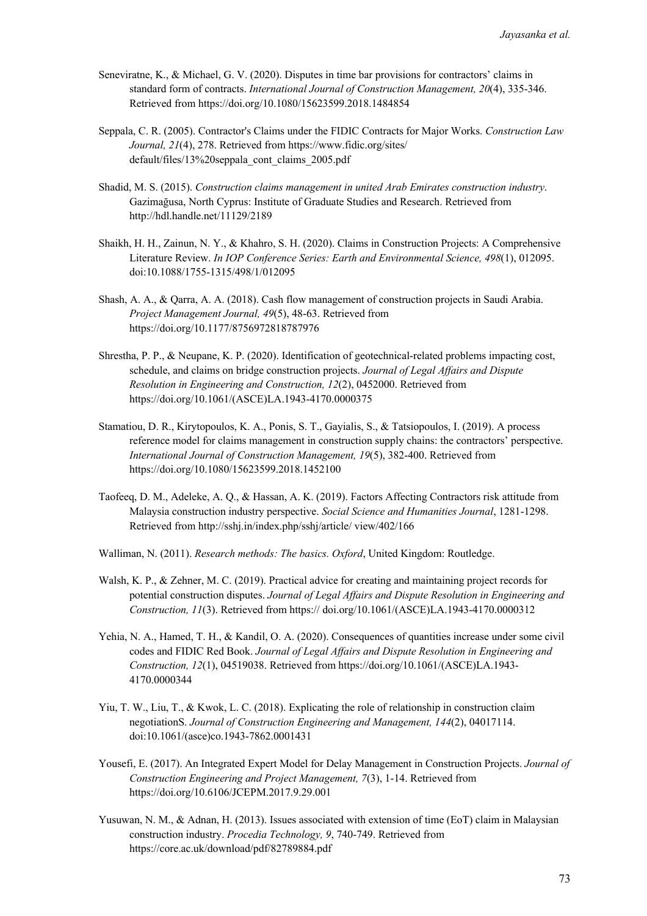- Seneviratne, K., & Michael, G. V. (2020). Disputes in time bar provisions for contractors' claims in standard form of contracts. *International Journal of Construction Management, 20*(4), 335-346. Retrieved from https://doi.org/10.1080/15623599.2018.1484854
- Seppala, C. R. (2005). Contractor's Claims under the FIDIC Contracts for Major Works. *Construction Law Journal, 21*(4), 278. Retrieved from https://www.fidic.org/sites/ default/files/13%20seppala\_cont\_claims\_2005.pdf
- Shadid, M. S. (2015). *Construction claims management in united Arab Emirates construction industry*. Gazimağusa, North Cyprus: Institute of Graduate Studies and Research. Retrieved from http://hdl.handle.net/11129/2189
- Shaikh, H. H., Zainun, N. Y., & Khahro, S. H. (2020). Claims in Construction Projects: A Comprehensive Literature Review. *In IOP Conference Series: Earth and Environmental Science, 498*(1), 012095. doi:10.1088/1755-1315/498/1/012095
- Shash, A. A., & Qarra, A. A. (2018). Cash flow management of construction projects in Saudi Arabia. *Project Management Journal, 49*(5), 48-63. Retrieved from https://doi.org/10.1177/8756972818787976
- Shrestha, P. P., & Neupane, K. P. (2020). Identification of geotechnical-related problems impacting cost, schedule, and claims on bridge construction projects. *Journal of Legal Affairs and Dispute Resolution in Engineering and Construction, 12*(2), 0452000. Retrieved from https://doi.org/10.1061/(ASCE)LA.1943-4170.0000375
- Stamatiou, D. R., Kirytopoulos, K. A., Ponis, S. T., Gayialis, S., & Tatsiopoulos, I. (2019). A process reference model for claims management in construction supply chains: the contractors' perspective. *International Journal of Construction Management, 19*(5), 382-400. Retrieved from https://doi.org/10.1080/15623599.2018.1452100
- Taofeeq, D. M., Adeleke, A. Q., & Hassan, A. K. (2019). Factors Affecting Contractors risk attitude from Malaysia construction industry perspective. *Social Science and Humanities Journal*, 1281-1298. Retrieved from http://sshj.in/index.php/sshj/article/ view/402/166
- Walliman, N. (2011). *Research methods: The basics. Oxford*, United Kingdom: Routledge.
- Walsh, K. P., & Zehner, M. C. (2019). Practical advice for creating and maintaining project records for potential construction disputes. *Journal of Legal Affairs and Dispute Resolution in Engineering and Construction, 11*(3). Retrieved from https:// doi.org/10.1061/(ASCE)LA.1943-4170.0000312
- Yehia, N. A., Hamed, T. H., & Kandil, O. A. (2020). Consequences of quantities increase under some civil codes and FIDIC Red Book. *Journal of Legal Affairs and Dispute Resolution in Engineering and Construction, 12*(1), 04519038. Retrieved from https://doi.org/10.1061/(ASCE)LA.1943- 4170.0000344
- Yiu, T. W., Liu, T., & Kwok, L. C. (2018). Explicating the role of relationship in construction claim negotiationS. *Journal of Construction Engineering and Management, 144*(2), 04017114. doi:10.1061/(asce)co.1943-7862.0001431
- Yousefi, E. (2017). An Integrated Expert Model for Delay Management in Construction Projects. *Journal of Construction Engineering and Project Management, 7*(3), 1-14. Retrieved from https://doi.org/10.6106/JCEPM.2017.9.29.001
- Yusuwan, N. M., & Adnan, H. (2013). Issues associated with extension of time (EoT) claim in Malaysian construction industry. *Procedia Technology, 9*, 740-749. Retrieved from https://core.ac.uk/download/pdf/82789884.pdf